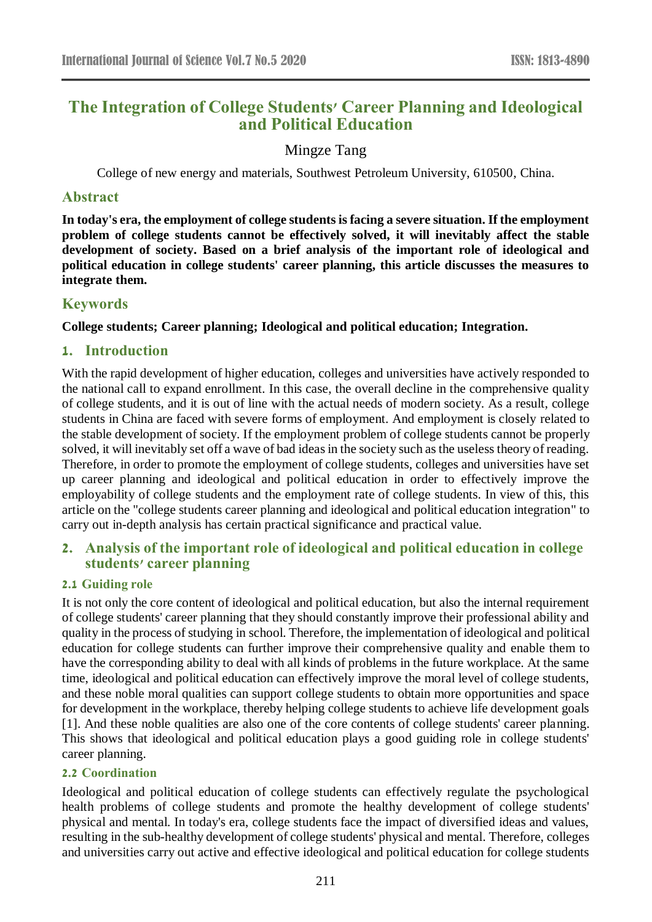# **The Integration of College Students' Career Planning and Ideological and Political Education**

# Mingze Tang

College of new energy and materials, Southwest Petroleum University, 610500, China.

### **Abstract**

**In today's era, the employment of college students is facing a severe situation. If the employment problem of college students cannot be effectively solved, it will inevitably affect the stable development of society. Based on a brief analysis of the important role of ideological and political education in college students' career planning, this article discusses the measures to integrate them.**

### **Keywords**

#### **College students; Career planning; Ideological and political education; Integration.**

### **1. Introduction**

With the rapid development of higher education, colleges and universities have actively responded to the national call to expand enrollment. In this case, the overall decline in the comprehensive quality of college students, and it is out of line with the actual needs of modern society. As a result, college students in China are faced with severe forms of employment. And employment is closely related to the stable development of society. If the employment problem of college students cannot be properly solved, it will inevitably set off a wave of bad ideas in the society such as the useless theory of reading. Therefore, in order to promote the employment of college students, colleges and universities have set up career planning and ideological and political education in order to effectively improve the employability of college students and the employment rate of college students. In view of this, this article on the "college students career planning and ideological and political education integration" to carry out in-depth analysis has certain practical significance and practical value.

# **2. Analysis of the important role of ideological and political education in college students' career planning**

#### **2.1 Guiding role**

It is not only the core content of ideological and political education, but also the internal requirement of college students' career planning that they should constantly improve their professional ability and quality in the process of studying in school. Therefore, the implementation of ideological and political education for college students can further improve their comprehensive quality and enable them to have the corresponding ability to deal with all kinds of problems in the future workplace. At the same time, ideological and political education can effectively improve the moral level of college students, and these noble moral qualities can support college students to obtain more opportunities and space for development in the workplace, thereby helping college students to achieve life development goals [1]. And these noble qualities are also one of the core contents of college students' career planning. This shows that ideological and political education plays a good guiding role in college students' career planning.

#### **2.2 Coordination**

Ideological and political education of college students can effectively regulate the psychological health problems of college students and promote the healthy development of college students' physical and mental. In today's era, college students face the impact of diversified ideas and values, resulting in the sub-healthy development of college students' physical and mental. Therefore, colleges and universities carry out active and effective ideological and political education for college students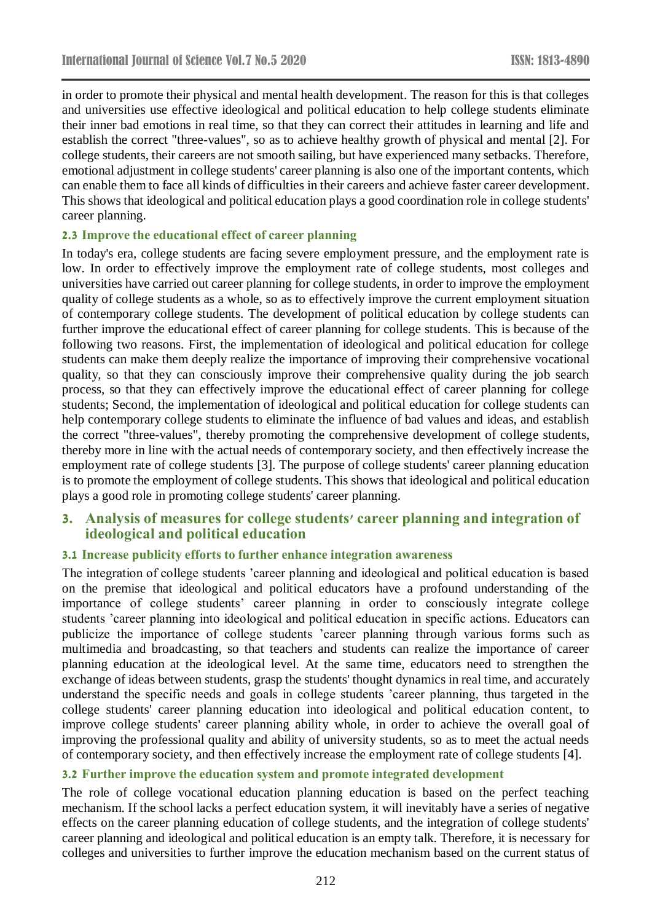in order to promote their physical and mental health development. The reason for this is that colleges and universities use effective ideological and political education to help college students eliminate their inner bad emotions in real time, so that they can correct their attitudes in learning and life and establish the correct "three-values", so as to achieve healthy growth of physical and mental [2]. For college students, their careers are not smooth sailing, but have experienced many setbacks. Therefore, emotional adjustment in college students' career planning is also one of the important contents, which can enable them to face all kinds of difficulties in their careers and achieve faster career development. This shows that ideological and political education plays a good coordination role in college students' career planning.

#### **2.3 Improve the educational effect of career planning**

In today's era, college students are facing severe employment pressure, and the employment rate is low. In order to effectively improve the employment rate of college students, most colleges and universities have carried out career planning for college students, in order to improve the employment quality of college students as a whole, so as to effectively improve the current employment situation of contemporary college students. The development of political education by college students can further improve the educational effect of career planning for college students. This is because of the following two reasons. First, the implementation of ideological and political education for college students can make them deeply realize the importance of improving their comprehensive vocational quality, so that they can consciously improve their comprehensive quality during the job search process, so that they can effectively improve the educational effect of career planning for college students; Second, the implementation of ideological and political education for college students can help contemporary college students to eliminate the influence of bad values and ideas, and establish the correct "three-values", thereby promoting the comprehensive development of college students, thereby more in line with the actual needs of contemporary society, and then effectively increase the employment rate of college students [3]. The purpose of college students' career planning education is to promote the employment of college students. This shows that ideological and political education plays a good role in promoting college students' career planning.

#### **3. Analysis of measures for college students' career planning and integration of ideological and political education**

#### **3.1 Increase publicity efforts to further enhance integration awareness**

The integration of college students 'career planning and ideological and political education is based on the premise that ideological and political educators have a profound understanding of the importance of college students' career planning in order to consciously integrate college students 'career planning into ideological and political education in specific actions. Educators can publicize the importance of college students 'career planning through various forms such as multimedia and broadcasting, so that teachers and students can realize the importance of career planning education at the ideological level. At the same time, educators need to strengthen the exchange of ideas between students, grasp the students' thought dynamics in real time, and accurately understand the specific needs and goals in college students 'career planning, thus targeted in the college students' career planning education into ideological and political education content, to improve college students' career planning ability whole, in order to achieve the overall goal of improving the professional quality and ability of university students, so as to meet the actual needs of contemporary society, and then effectively increase the employment rate of college students [4].

#### **3.2 Further improve the education system and promote integrated development**

The role of college vocational education planning education is based on the perfect teaching mechanism. If the school lacks a perfect education system, it will inevitably have a series of negative effects on the career planning education of college students, and the integration of college students' career planning and ideological and political education is an empty talk. Therefore, it is necessary for colleges and universities to further improve the education mechanism based on the current status of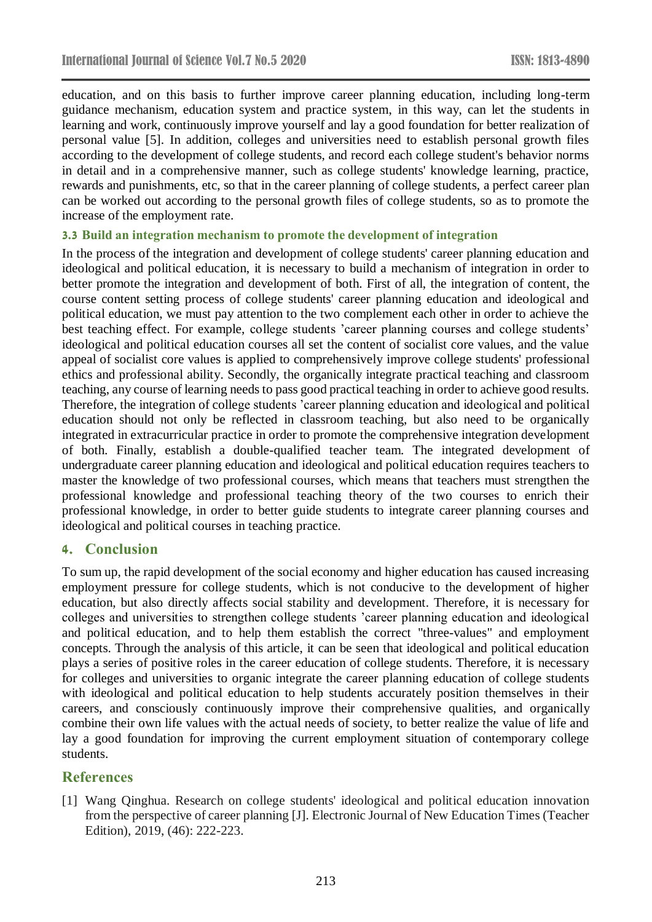education, and on this basis to further improve career planning education, including long-term guidance mechanism, education system and practice system, in this way, can let the students in learning and work, continuously improve yourself and lay a good foundation for better realization of personal value [5]. In addition, colleges and universities need to establish personal growth files according to the development of college students, and record each college student's behavior norms in detail and in a comprehensive manner, such as college students' knowledge learning, practice, rewards and punishments, etc, so that in the career planning of college students, a perfect career plan can be worked out according to the personal growth files of college students, so as to promote the increase of the employment rate.

#### **3.3 Build an integration mechanism to promote the development of integration**

In the process of the integration and development of college students' career planning education and ideological and political education, it is necessary to build a mechanism of integration in order to better promote the integration and development of both. First of all, the integration of content, the course content setting process of college students' career planning education and ideological and political education, we must pay attention to the two complement each other in order to achieve the best teaching effect. For example, college students 'career planning courses and college students' ideological and political education courses all set the content of socialist core values, and the value appeal of socialist core values is applied to comprehensively improve college students' professional ethics and professional ability. Secondly, the organically integrate practical teaching and classroom teaching, any course of learning needs to pass good practical teaching in order to achieve good results. Therefore, the integration of college students 'career planning education and ideological and political education should not only be reflected in classroom teaching, but also need to be organically integrated in extracurricular practice in order to promote the comprehensive integration development of both. Finally, establish a double-qualified teacher team. The integrated development of undergraduate career planning education and ideological and political education requires teachers to master the knowledge of two professional courses, which means that teachers must strengthen the professional knowledge and professional teaching theory of the two courses to enrich their professional knowledge, in order to better guide students to integrate career planning courses and ideological and political courses in teaching practice.

#### **4. Conclusion**

To sum up, the rapid development of the social economy and higher education has caused increasing employment pressure for college students, which is not conducive to the development of higher education, but also directly affects social stability and development. Therefore, it is necessary for colleges and universities to strengthen college students 'career planning education and ideological and political education, and to help them establish the correct "three-values" and employment concepts. Through the analysis of this article, it can be seen that ideological and political education plays a series of positive roles in the career education of college students. Therefore, it is necessary for colleges and universities to organic integrate the career planning education of college students with ideological and political education to help students accurately position themselves in their careers, and consciously continuously improve their comprehensive qualities, and organically combine their own life values with the actual needs of society, to better realize the value of life and lay a good foundation for improving the current employment situation of contemporary college students.

# **References**

[1] Wang Qinghua. Research on college students' ideological and political education innovation from the perspective of career planning [J]. Electronic Journal of New Education Times (Teacher Edition), 2019, (46): 222-223.